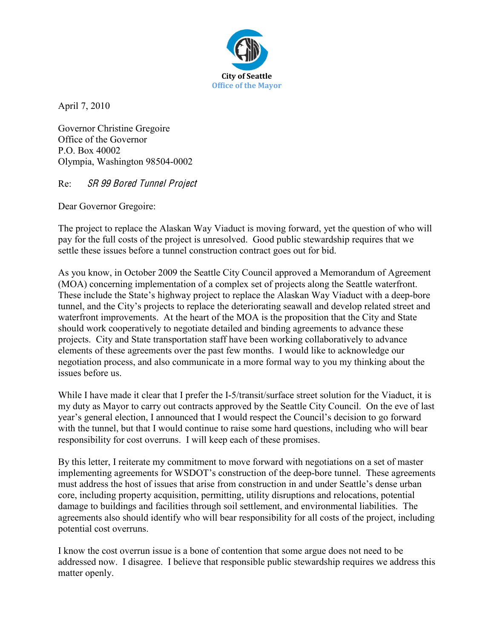

April 7, 2010

Governor Christine Gregoire Office of the Governor P.O. Box 40002 Olympia, Washington 98504-0002

Re: SR 99 Bored Tunnel Projec<sup>t</sup>

Dear Governor Gregoire:

The project to replace the Alaskan Way Viaduct is moving forward, yet the question of who will pay for the full costs of the project is unresolved. Good public stewardship requires that we settle these issues before a tunnel construction contract goes out for bid.

As you know, in October 2009 the Seattle City Council approved a Memorandum of Agreement (MOA) concerning implementation of a complex set of projects along the Seattle waterfront. These include the State's highway project to replace the Alaskan Way Viaduct with a deep-bore tunnel, and the City's projects to replace the deteriorating seawall and develop related street and waterfront improvements. At the heart of the MOA is the proposition that the City and State should work cooperatively to negotiate detailed and binding agreements to advance these projects. City and State transportation staff have been working collaboratively to advance elements of these agreements over the past few months. I would like to acknowledge our negotiation process, and also communicate in a more formal way to you my thinking about the issues before us.

While I have made it clear that I prefer the I-5/transit/surface street solution for the Viaduct, it is my duty as Mayor to carry out contracts approved by the Seattle City Council. On the eve of last year's general election, I announced that I would respect the Council's decision to go forward with the tunnel, but that I would continue to raise some hard questions, including who will bear responsibility for cost overruns. I will keep each of these promises.

By this letter, I reiterate my commitment to move forward with negotiations on a set of master implementing agreements for WSDOT's construction of the deep-bore tunnel. These agreements must address the host of issues that arise from construction in and under Seattle's dense urban core, including property acquisition, permitting, utility disruptions and relocations, potential damage to buildings and facilities through soil settlement, and environmental liabilities. The agreements also should identify who will bear responsibility for all costs of the project, including potential cost overruns.

I know the cost overrun issue is a bone of contention that some argue does not need to be addressed now. I disagree. I believe that responsible public stewardship requires we address this matter openly.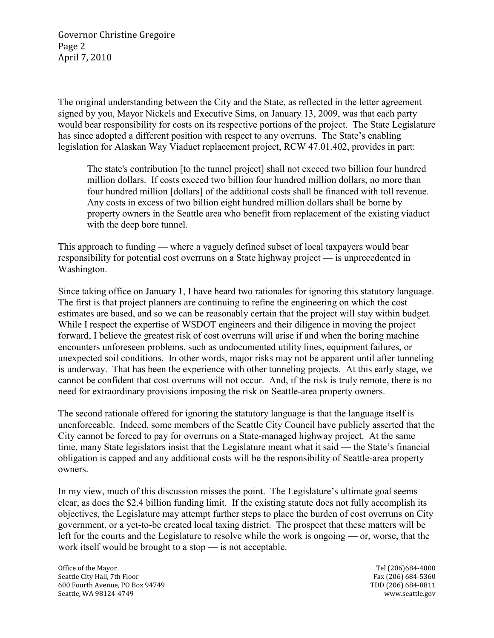Governor Christine Gregoire Page 2 April 7, 2010

The original understanding between the City and the State, as reflected in the letter agreement signed by you, Mayor Nickels and Executive Sims, on January 13, 2009, was that each party would bear responsibility for costs on its respective portions of the project. The State Legislature has since adopted a different position with respect to any overruns. The State's enabling legislation for Alaskan Way Viaduct replacement project, RCW 47.01.402, provides in part:

The state's contribution [to the tunnel project] shall not exceed two billion four hundred million dollars. If costs exceed two billion four hundred million dollars, no more than four hundred million [dollars] of the additional costs shall be financed with toll revenue. Any costs in excess of two billion eight hundred million dollars shall be borne by property owners in the Seattle area who benefit from replacement of the existing viaduct with the deep bore tunnel.

This approach to funding — where a vaguely defined subset of local taxpayers would bear responsibility for potential cost overruns on a State highway project — is unprecedented in Washington.

Since taking office on January 1, I have heard two rationales for ignoring this statutory language. The first is that project planners are continuing to refine the engineering on which the cost estimates are based, and so we can be reasonably certain that the project will stay within budget. While I respect the expertise of WSDOT engineers and their diligence in moving the project forward, I believe the greatest risk of cost overruns will arise if and when the boring machine encounters unforeseen problems, such as undocumented utility lines, equipment failures, or unexpected soil conditions. In other words, major risks may not be apparent until after tunneling is underway. That has been the experience with other tunneling projects. At this early stage, we cannot be confident that cost overruns will not occur. And, if the risk is truly remote, there is no need for extraordinary provisions imposing the risk on Seattle-area property owners.

The second rationale offered for ignoring the statutory language is that the language itself is unenforceable. Indeed, some members of the Seattle City Council have publicly asserted that the City cannot be forced to pay for overruns on a State-managed highway project. At the same time, many State legislators insist that the Legislature meant what it said — the State's financial obligation is capped and any additional costs will be the responsibility of Seattle-area property owners.

In my view, much of this discussion misses the point. The Legislature's ultimate goal seems clear, as does the \$2.4 billion funding limit. If the existing statute does not fully accomplish its objectives, the Legislature may attempt further steps to place the burden of cost overruns on City government, or a yet-to-be created local taxing district. The prospect that these matters will be left for the courts and the Legislature to resolve while the work is ongoing — or, worse, that the work itself would be brought to a stop — is not acceptable.

Office of the Mayor Tel (206)684-4000 Seattle City Hall, 7th Floor Fax (206) 684‐5360 600 Fourth Avenue, PO Box 94749 TDD (206) 684‐8811 Seattle, WA 98124‐4749 www.seattle.gov